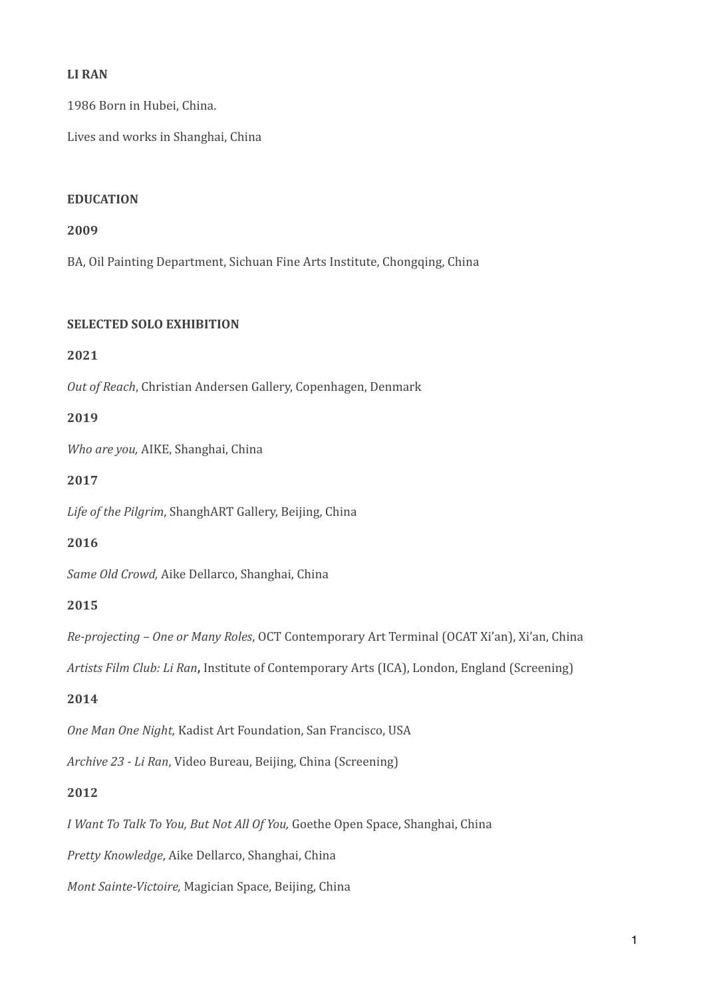### LI RAN

1986 Born in Hubei, China.

Lives and works in Shanghai, China

#### **EDUCATION**

#### **2009**

BA, Oil Painting Department, Sichuan Fine Arts Institute, Chongqing, China

#### **SELECTED SOLO EXHIBITION**

### **2021**

Out of Reach, Christian Andersen Gallery, Copenhagen, Denmark

### **2019**

*Who are you, AIKE, Shanghai, China* 

### **2017**

Life of the Pilgrim, ShanghART Gallery, Beijing, China

### **2016**

Same Old Crowd, Aike Dellarco, Shanghai, China

### **2015**

*Re-projecting* – One or Many Roles, OCT Contemporary Art Terminal (OCAT Xi'an), Xi'an, China

Artists Film Club: Li Ran, Institute of Contemporary Arts (ICA), London, England (Screening)

### **2014**

**One Man One Night, Kadist Art Foundation, San Francisco, USA** 

*Archive 23 - Li Ran*, Video Bureau, Beijing, China (Screening)

### **2012**

*I* Want To Talk To You, But Not All Of You, Goethe Open Space, Shanghai, China

Pretty Knowledge, Aike Dellarco, Shanghai, China

*Mont Sainte-Victoire, Magician Space, Beijing, China*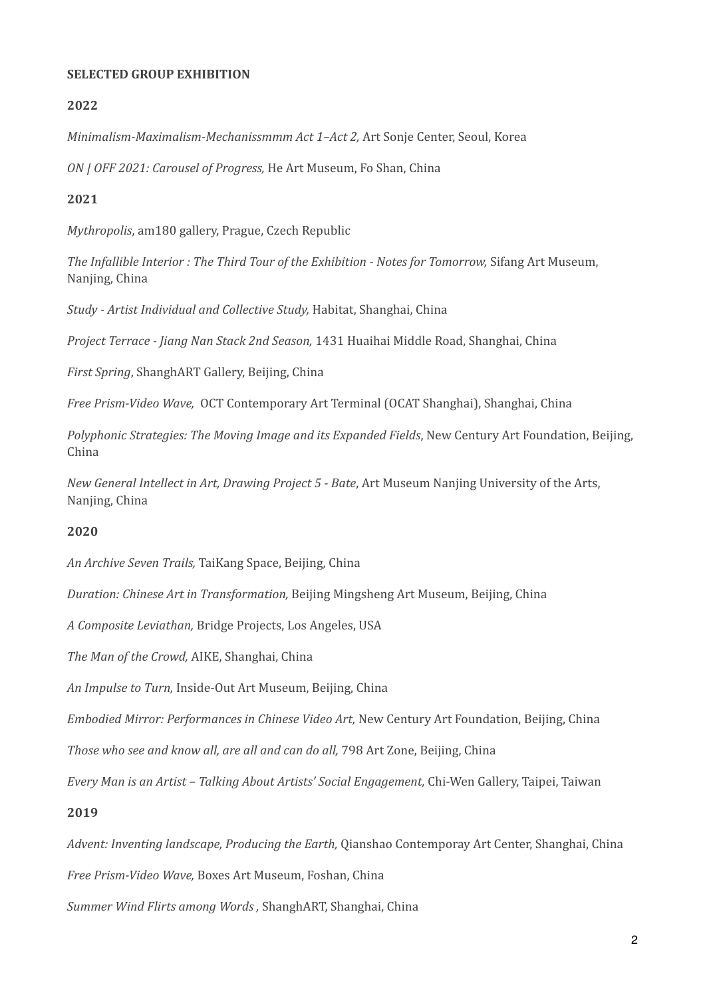#### **SELECTED GROUP EXHIBITION**

### **2022**

*Minimalism-Maximalism-Mechanissmmm Act 1-Act 2, Art Sonje Center, Seoul, Korea* 

*ON* / *OFF* 2021: *Carousel of Progress*, *He Art Museum*, *Fo Shan, China* 

### **2021**

*Mythropolis*, am180 gallery, Prague, Czech Republic

*The Infallible Interior : The Third Tour of the Exhibition - Notes for Tomorrow, Sifang Art Museum,* Nanjing, China

*Study* - *Artist Individual and Collective Study*, Habitat, Shanghai, China

*Project Terrace - Jiang Nan Stack 2nd Season,* 1431 Huaihai Middle Road, Shanghai, China

*First Spring*, ShanghART Gallery, Beijing, China 

*Free Prism-Video Wave, OCT Contemporary Art Terminal (OCAT Shanghai), Shanghai, China* 

*Polyphonic Strategies: The Moving Image and its Expanded Fields*, New Century Art Foundation, Beijing, China 

*New General Intellect in Art, Drawing Project 5 - Bate, Art Museum Nanjing University of the Arts,* Nanjing, China

### **2020**

*An Archive Seven Trails,* TaiKang Space, Beijing, China

*Duration: Chinese Art in Transformation,* Beijing Mingsheng Art Museum, Beijing, China

*A Composite Leviathan,* Bridge Projects, Los Angeles, USA

The Man of the Crowd, AIKE, Shanghai, China

*An Impulse to Turn, Inside-Out Art Museum, Beijing, China* 

*Embodied Mirror: Performances in Chinese Video Art,* New Century Art Foundation, Beijing, China

*Those who see and know all, are all and can do all,* 798 Art Zone, Beijing, China

*Every Man is an Artist – Talking About Artists' Social Engagement,* Chi-Wen Gallery, Taipei, Taiwan

### **2019**

*Advent: Inventing landscape, Producing the Earth, Qianshao Contemporay Art Center, Shanghai, China* 

*Free Prism-Video Wave,* Boxes Art Museum, Foshan, China

*Summer Wind Flirts among Words, ShanghART, Shanghai, China*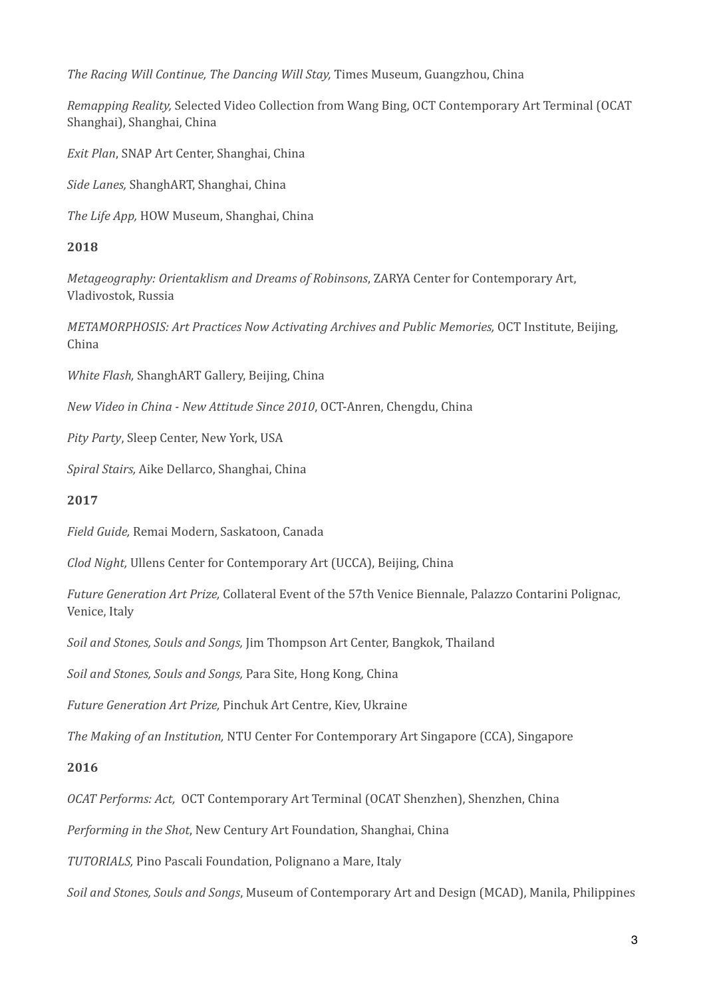*The Racing Will Continue, The Dancing Will Stay,* Times Museum, Guangzhou, China

*Remapping Reality,* Selected Video Collection from Wang Bing, OCT Contemporary Art Terminal (OCAT Shanghai), Shanghai, China

*Exit Plan*, SNAP Art Center, Shanghai, China

*Side Lanes,* ShanghART, Shanghai, China

*The Life App.* HOW Museum, Shanghai, China

### **2018**

*Metageography: Orientaklism and Dreams of Robinsons, ZARYA Center for Contemporary Art,* Vladivostok, Russia

*METAMORPHOSIS: Art Practices Now Activating Archives and Public Memories, OCT Institute, Beijing,* China

*White Flash,* ShanghART Gallery, Beijing, China

*New Video in China - New Attitude Since 2010*, OCT-Anren, Chengdu, China

*Pity Party*, Sleep Center, New York, USA

*Spiral Stairs,* Aike Dellarco, Shanghai, China

### **2017**

*Field Guide,* Remai Modern, Saskatoon, Canada

*Clod Night,* Ullens Center for Contemporary Art (UCCA), Beijing, China

*Future Generation Art Prize,* Collateral Event of the 57th Venice Biennale, Palazzo Contarini Polignac, Venice, Italy

Soil and Stones, Souls and Songs, Jim Thompson Art Center, Bangkok, Thailand

*Soil and Stones, Souls and Songs, Para Site, Hong Kong, China* 

*Future Generation Art Prize, Pinchuk Art Centre, Kiev, Ukraine* 

*The Making of an Institution,* NTU Center For Contemporary Art Singapore (CCA), Singapore

### **2016**

*OCAT Performs: Act, OCT Contemporary Art Terminal (OCAT Shenzhen), Shenzhen, China* 

*Performing in the Shot*, New Century Art Foundation, Shanghai, China

*TUTORIALS*, Pino Pascali Foundation, Polignano a Mare, Italy

*Soil and Stones, Souls and Songs*, Museum of Contemporary Art and Design (MCAD), Manila, Philippines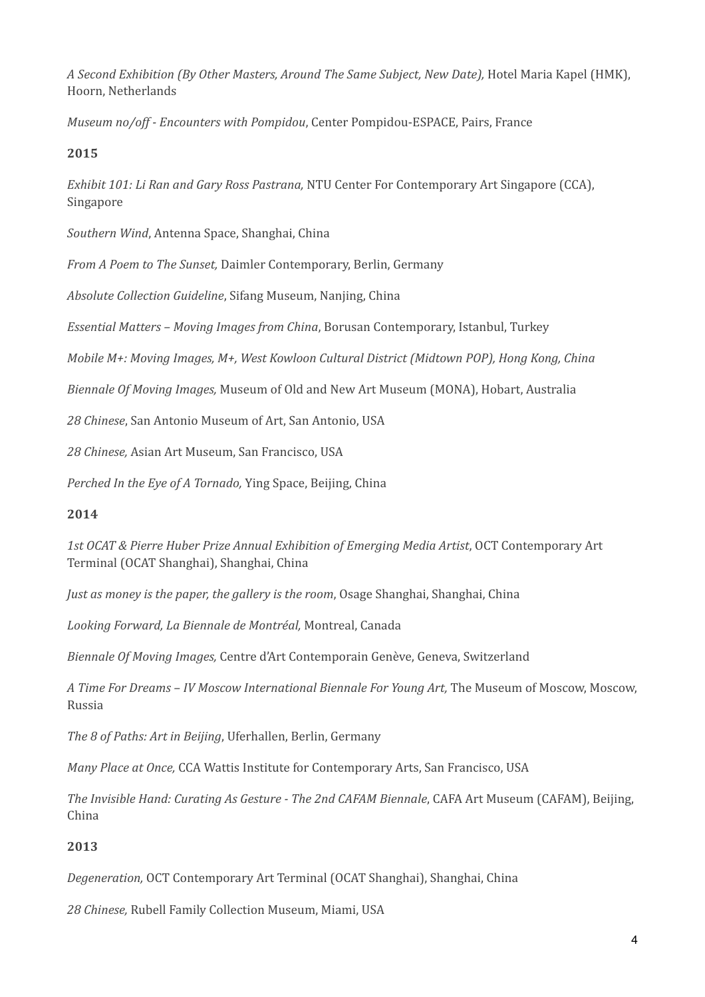*A Second Exhibition (By Other Masters, Around The Same Subject, New Date),* Hotel Maria Kapel (HMK), Hoorn, Netherlands

*Museum no/off - Encounters with Pompidou,* Center Pompidou-ESPACE, Pairs, France

# **2015**

*Exhibit 101: Li Ran and Gary Ross Pastrana,* NTU Center For Contemporary Art Singapore (CCA), Singapore

Southern Wind, Antenna Space, Shanghai, China

*From A Poem to The Sunset, Daimler Contemporary, Berlin, Germany* 

*Absolute Collection Guideline, Sifang Museum, Nanjing, China* 

*Essential Matters – Moving Images from China*, Borusan Contemporary, Istanbul, Turkey

*Mobile M+: Moving Images, M+, West Kowloon Cultural District (Midtown POP), Hong Kong, Ching* 

*Biennale Of Moving Images, Museum of Old and New Art Museum (MONA), Hobart, Australia* 

28 Chinese, San Antonio Museum of Art, San Antonio, USA

*28 Chinese,* Asian Art Museum, San Francisco, USA

*Perched In the Eye of A Tornado, Ying Space, Beijing, China* 

### **2014**

1st OCAT & Pierre Huber Prize Annual Exhibition of Emerging Media Artist, OCT Contemporary Art Terminal (OCAT Shanghai), Shanghai, China

*Just as money is the paper, the gallery is the room,* Osage Shanghai, Shanghai, China

*Looking Forward, La Biennale de Montréal,* Montreal, Canada

*Biennale Of Moving Images,* Centre d'Art Contemporain Genève, Geneva, Switzerland

*A* Time For Dreams – IV Moscow International Biennale For Young Art, The Museum of Moscow, Moscow, Russia

*The 8 of Paths: Art in Beijing*, Uferhallen, Berlin, Germany

*Many Place at Once,* CCA Wattis Institute for Contemporary Arts, San Francisco, USA

*The Invisible Hand: Curating As Gesture - The 2nd CAFAM Biennale,* CAFA Art Museum (CAFAM), Beijing, China

# **2013**

*Degeneration,* OCT Contemporary Art Terminal (OCAT Shanghai), Shanghai, China 

28 Chinese, Rubell Family Collection Museum, Miami, USA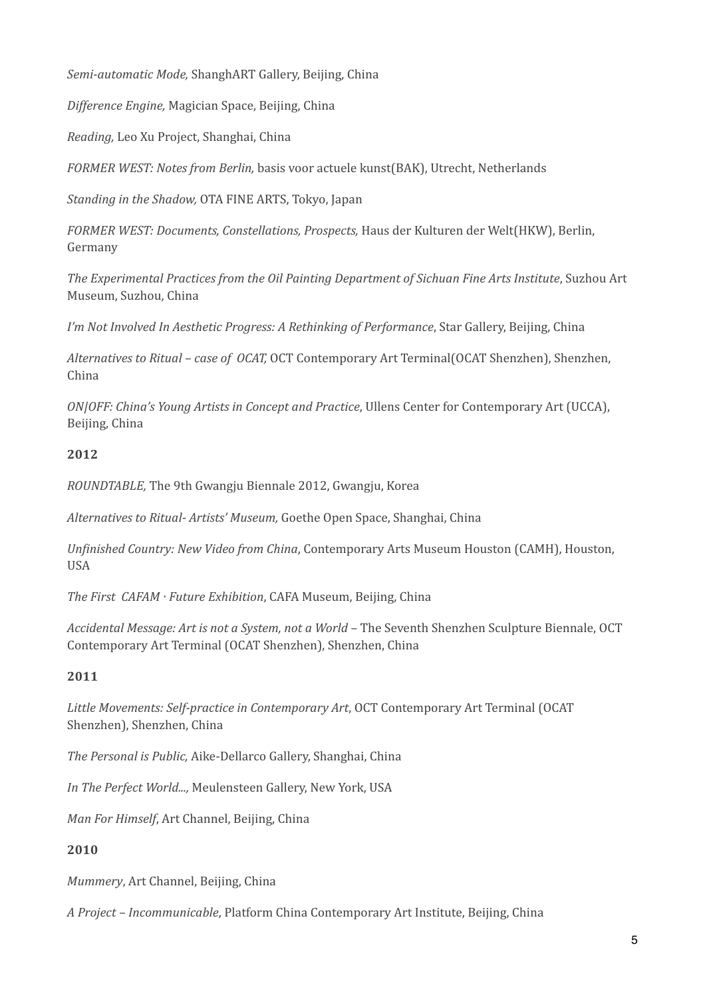*Semi-automatic Mode,* ShanghART Gallery, Beijing, China 

*Difference Engine,* Magician Space, Beijing, China

*Reading,* Leo Xu Project, Shanghai, China

FORMER WEST: Notes from Berlin, basis voor actuele kunst(BAK), Utrecht, Netherlands

*Standing in the Shadow,* OTA FINE ARTS, Tokyo, Japan

FORMER WEST: Documents, Constellations, Prospects, Haus der Kulturen der Welt(HKW), Berlin, Germany

The Experimental Practices from the Oil Painting Department of Sichuan Fine Arts Institute, Suzhou Art Museum, Suzhou, China

*I'm Not Involved In Aesthetic Progress: A Rethinking of Performance*, Star Gallery, Beijing, China

*Alternatives to Ritual – case of OCAT,* OCT Contemporary Art Terminal(OCAT Shenzhen), Shenzhen, China 

*ON|OFF: China's Young Artists in Concept and Practice, Ullens Center for Contemporary Art (UCCA),* Beijing, China

## **2012**

*ROUNDTABLE*, The 9th Gwangju Biennale 2012, Gwangju, Korea

*Alternatives to Ritual- Artists' Museum,* Goethe Open Space, Shanghai, China

*Unfinished Country: New Video from China*, Contemporary Arts Museum Houston (CAMH), Houston, USA

*The First CAFAM · Future Exhibition*, CAFA Museum, Beijing, China

*Accidental Message: Art is not a System, not a World* – The Seventh Shenzhen Sculpture Biennale, OCT Contemporary Art Terminal (OCAT Shenzhen), Shenzhen, China

# **2011**

Little Movements: Self-practice in Contemporary Art, OCT Contemporary Art Terminal (OCAT Shenzhen), Shenzhen, China

The Personal is Public, Aike-Dellarco Gallery, Shanghai, China

*In The Perfect World...,* Meulensteen Gallery, New York, USA

*Man For Himself, Art Channel, Beijing, China* 

# **2010**

*Mummery*, Art Channel, Beijing, China

*A* Project - Incommunicable, Platform China Contemporary Art Institute, Beijing, China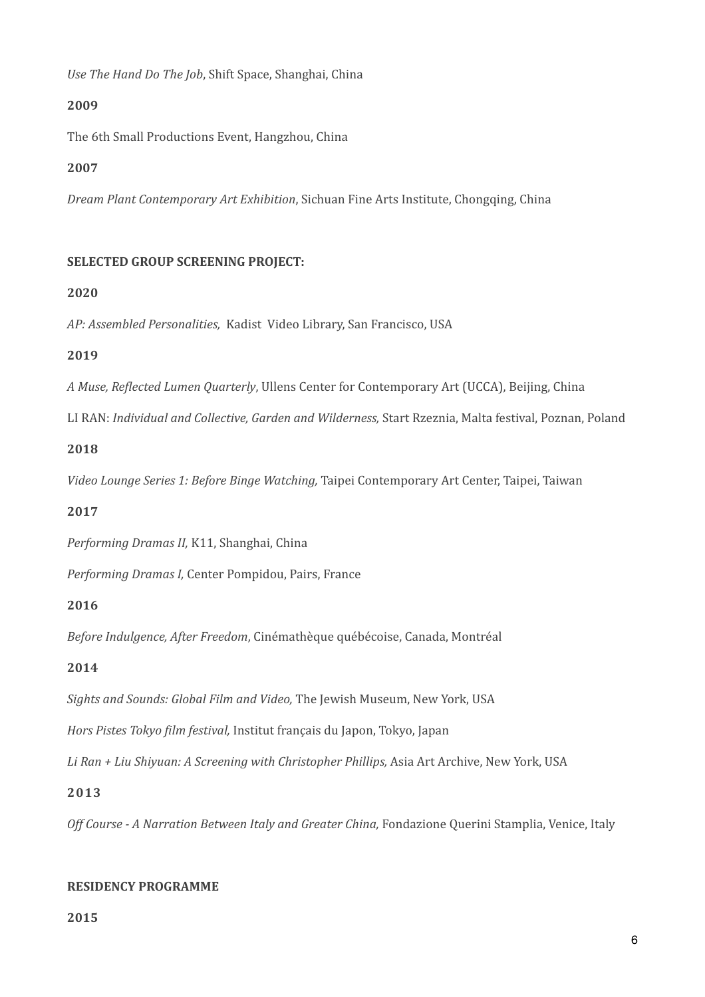*Use The Hand Do The Job*, Shift Space, Shanghai, China

### **2009**

The 6th Small Productions Event, Hangzhou, China

## **2007**

*Dream Plant Contemporary Art Exhibition*, Sichuan Fine Arts Institute, Chongqing, China

## **SELECTED GROUP SCREENING PROJECT:**

## **2020**

AP: Assembled Personalities, Kadist Video Library, San Francisco, USA

## **2019**

*A* Muse, Reflected Lumen Quarterly, Ullens Center for Contemporary Art (UCCA), Beijing, China

LI RAN: *Individual and Collective, Garden and Wilderness, Start Rzeznia, Malta festival, Poznan, Poland* 

## **2018**

Video Lounge Series 1: Before Binge Watching, Taipei Contemporary Art Center, Taipei, Taiwan

# **2017**

Performing Dramas II, K11, Shanghai, China

*Performing Dramas I, Center Pompidou, Pairs, France* 

### **2016**

*Before Indulgence, After Freedom, Cinémathèque québécoise, Canada, Montréal* 

# **2014**

Sights and Sounds: Global Film and Video, The Jewish Museum, New York, USA

*Hors Pistes Tokyo film festival, Institut français du Japon, Tokyo, Japan* 

Li Ran + Liu Shiyuan: A Screening with Christopher Phillips, Asia Art Archive, New York, USA

### **2013**

*Off Course - A Narration Between Italy and Greater China, Fondazione Ouerini Stamplia, Venice, Italy* 

### **RESIDENCY PROGRAMME**

**2015**